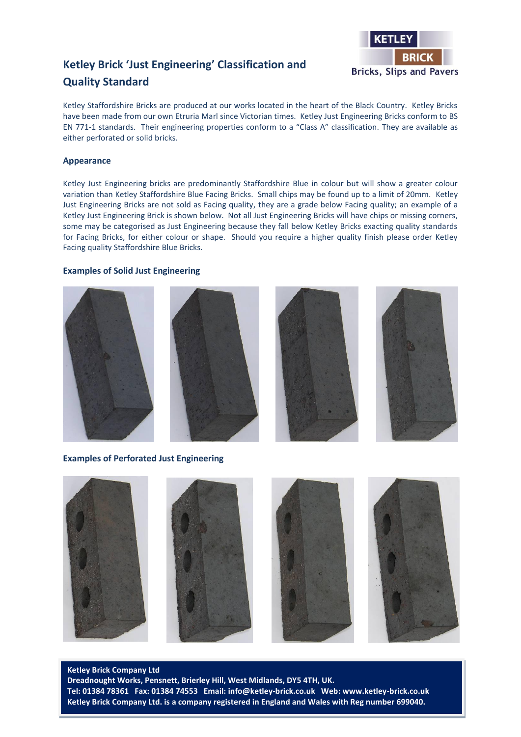

# **Ketley Brick 'Just Engineering' Classification and Quality Standard**

Ketley Staffordshire Bricks are produced at our works located in the heart of the Black Country. Ketley Bricks have been made from our own Etruria Marl since Victorian times. Ketley Just Engineering Bricks conform to BS EN 771-1 standards. Their engineering properties conform to a "Class A" classification. They are available as either perforated or solid bricks.

### **Appearance**

Ketley Just Engineering bricks are predominantly Staffordshire Blue in colour but will show a greater colour variation than Ketley Staffordshire Blue Facing Bricks. Small chips may be found up to a limit of 20mm. Ketley Just Engineering Bricks are not sold as Facing quality, they are a grade below Facing quality; an example of a Ketley Just Engineering Brick is shown below. Not all Just Engineering Bricks will have chips or missing corners, some may be categorised as Just Engineering because they fall below Ketley Bricks exacting quality standards for Facing Bricks, for either colour or shape. Should you require a higher quality finish please order Ketley Facing quality Staffordshire Blue Bricks.

#### **Examples of Solid Just Engineering**









**Examples of Perforated Just Engineering**



**Ketley Brick Company Ltd Dreadnought Works, Pensnett, Brierley Hill, West Midlands, DY5 4TH, UK. Tel: 01384 78361 Fax: 01384 74553 Email: info@ketley-brick.co.uk Web: www.ketley-brick.co.uk Ketley Brick Company Ltd. is a company registered in England and Wales with Reg number 699040.**